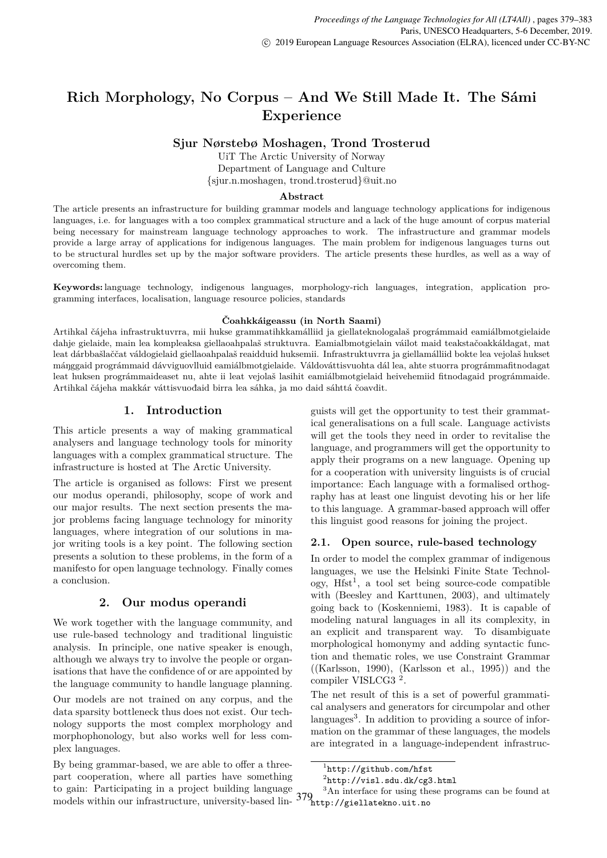# **Rich Morphology, No Corpus – And We Still Made It. The Sámi Experience**

**Sjur Nørstebø Moshagen, Trond Trosterud**

UiT The Arctic University of Norway Department of Language and Culture {sjur.n.moshagen, trond.trosterud}@uit.no

### **Abstract**

The article presents an infrastructure for building grammar models and language technology applications for indigenous languages, i.e. for languages with a too complex grammatical structure and a lack of the huge amount of corpus material being necessary for mainstream language technology approaches to work. The infrastructure and grammar models provide a large array of applications for indigenous languages. The main problem for indigenous languages turns out to be structural hurdles set up by the major software providers. The article presents these hurdles, as well as a way of overcoming them.

**Keywords:** language technology, indigenous languages, morphology-rich languages, integration, application programming interfaces, localisation, language resource policies, standards

#### **Čoahkkáigeassu (in North Saami)**

Artihkal čájeha infrastruktuvrra, mii hukse grammatihkkamálliid ja giellateknologalaš prográmmaid eamiálbmotgielaide dahje gielaide, main lea kompleaksa giellaoahpalaš struktuvra. Eamialbmotgielain váilot maid teakstačoakkáldagat, mat leat dárbbašlaččat váldogielaid giellaoahpalaš reaidduid huksemii. Infrastruktuvrra ja giellamálliid bokte lea vejolaš hukset máŋggaid prográmmaid dávviguovlluid eamiálbmotgielaide. Váldováttisvuohta dál lea, ahte stuorra prográmmafitnodagat leat huksen prográmmaideaset nu, ahte ii leat vejolaš lasihit eamiálbmotgielaid heivehemiid fitnodagaid prográmmaide. Artihkal čájeha makkár váttisvuođaid birra lea sáhka, ja mo daid sáhttá čoavdit.

# **1. Introduction**

This article presents a way of making grammatical analysers and language technology tools for minority languages with a complex grammatical structure. The infrastructure is hosted at The Arctic University.

The article is organised as follows: First we present our modus operandi, philosophy, scope of work and our major results. The next section presents the major problems facing language technology for minority languages, where integration of our solutions in major writing tools is a key point. The following section presents a solution to these problems, in the form of a manifesto for open language technology. Finally comes a conclusion.

### **2. Our modus operandi**

We work together with the language community, and use rule-based technology and traditional linguistic analysis. In principle, one native speaker is enough, although we always try to involve the people or organisations that have the confidence of or are appointed by the language community to handle language planning.

Our models are not trained on any corpus, and the data sparsity bottleneck thus does not exist. Our technology supports the most complex morphology and morphophonology, but also works well for less complex languages.

By being grammar-based, we are able to offer a threepart cooperation, where all parties have something to gain: Participating in a project building language models within our infrastructure, university-based lin-

guists will get the opportunity to test their grammatical generalisations on a full scale. Language activists will get the tools they need in order to revitalise the language, and programmers will get the opportunity to apply their programs on a new language. Opening up for a cooperation with university linguists is of crucial importance: Each language with a formalised orthography has at least one linguist devoting his or her life to this language. A grammar-based approach will offer this linguist good reasons for joining the project.

### **2.1. Open source, rule-based technology**

In order to model the complex grammar of indigenous languages, we use the Helsinki Finite State Technol- $\log y$ , Hfst<sup>1</sup>, a tool set being source-code compatible with (Beesley and Karttunen, 2003), and ultimately going back to (Koskenniemi, 1983). It is capable of modeling natural languages in all its complexity, in an explicit and transparent way. To disambiguate morphological homonymy and adding syntactic function and thematic roles, we use Constraint Grammar  $((Karlsson, 1990), (Karlsson et al., 1995))$  and the compiler VISLCG3 <sup>2</sup> .

The net result of this is a set of powerful grammatical analysers and generators for circumpolar and other languages<sup>3</sup>. In addition to providing a source of information on the grammar of these languages, the models are integrated in a language-independent infrastruc-

<sup>1</sup> http://github.com/hfst

 $^{2}$ http://visl.sdu.dk/cg3.html

<sup>379</sup> http://giellatekno.uit.no<sup>3</sup>An interface for using these programs can be found at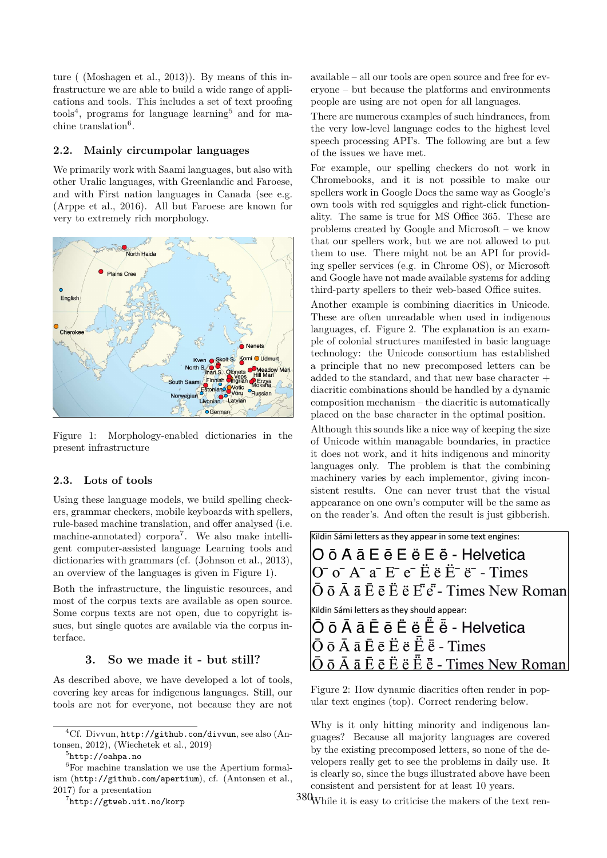ture ( (Moshagen et al., 2013)). By means of this infrastructure we are able to build a wide range of applications and tools. This includes a set of text proofing tools<sup>4</sup>, programs for language learning<sup>5</sup> and for machine translation<sup>6</sup>.

### **2.2. Mainly circumpolar languages**

We primarily work with Saami languages, but also with other Uralic languages, with Greenlandic and Faroese, and with First nation languages in Canada (see e.g. (Arppe et al., 2016). All but Faroese are known for very to extremely rich morphology.



Figure 1: Morphology-enabled dictionaries in the present infrastructure

### **2.3. Lots of tools**

Using these language models, we build spelling checkers, grammar checkers, mobile keyboards with spellers, rule-based machine translation, and offer analysed (i.e. machine-annotated) corpora<sup>7</sup>. We also make intelligent computer-assisted language Learning tools and dictionaries with grammars (cf. (Johnson et al., 2013), an overview of the languages is given in Figure 1).

Both the infrastructure, the linguistic resources, and most of the corpus texts are available as open source. Some corpus texts are not open, due to copyright issues, but single quotes are available via the corpus interface.

#### **3. So we made it - but still?**

As described above, we have developed a lot of tools, covering key areas for indigenous languages. Still, our tools are not for everyone, not because they are not

7 http://gtweb.uit.no/korp

available – all our tools are open source and free for everyone – but because the platforms and environments people are using are not open for all languages.

There are numerous examples of such hindrances, from the very low-level language codes to the highest level speech processing API's. The following are but a few of the issues we have met.

For example, our spelling checkers do not work in Chromebooks, and it is not possible to make our spellers work in Google Docs the same way as Google's own tools with red squiggles and right-click functionality. The same is true for MS Office 365. These are problems created by Google and Microsoft – we know that our spellers work, but we are not allowed to put them to use. There might not be an API for providing speller services (e.g. in Chrome OS), or Microsoft and Google have not made available systems for adding third-party spellers to their web-based Office suites.

Another example is combining diacritics in Unicode. These are often unreadable when used in indigenous languages, cf. Figure 2. The explanation is an example of colonial structures manifested in basic language technology: the Unicode consortium has established a principle that no new precomposed letters can be added to the standard, and that new base character + diacritic combinations should be handled by a dynamic composition mechanism – the diacritic is automatically placed on the base character in the optimal position.

Although this sounds like a nice way of keeping the size of Unicode within managable boundaries, in practice it does not work, and it hits indigenous and minority languages only. The problem is that the combining machinery varies by each implementor, giving inconsistent results. One can never trust that the visual appearance on one own's computer will be the same as on the reader's. And often the result is just gibberish.

| Kildin Sámi letters as they appear in some text engines:                                                                                                                                                                                                                                                                                                                                                                                             |
|------------------------------------------------------------------------------------------------------------------------------------------------------------------------------------------------------------------------------------------------------------------------------------------------------------------------------------------------------------------------------------------------------------------------------------------------------|
| O ō A ā E ē E ë E ë - Helvetica                                                                                                                                                                                                                                                                                                                                                                                                                      |
| $\overline{O}$ $\overline{O}$ $\overline{O}$ $\overline{A}$ $\overline{a}$ $\overline{E}$ $\overline{e}$ $\overline{E}$ $\overline{e}$ $\overline{E}$ $\overline{E}$ $\overline{e}$ $\overline{e}$ $\overline{e}$ $\overline{E}$ $\overline{E}$ $\overline{E}$ $\overline{E}$ $\overline{E}$ $\overline{E}$ $\overline{E}$ $\overline{E}$ $\overline{E}$ $\overline{E}$ $\overline{$                                                                 |
| $ \bar{O} \bar{o} \bar{A} \bar{a} \bar{E} \bar{e} \ddot{E} \ddot{e} \ddot{E} \ddot{e} \bar{E} \ddot{e}$ - Times New Roman                                                                                                                                                                                                                                                                                                                            |
| Kildin Sámi letters as they should appear:                                                                                                                                                                                                                                                                                                                                                                                                           |
| $\bar{\bm{\mathsf{O}}}$ $\bar{\bm{\mathsf{o}}}$ $\bar{\bm{\mathsf{A}}}$ $\bar{\bm{\mathsf{A}}}$ $\bar{\bm{\mathsf{E}}}$ $\bar{\bm{\mathsf{e}}}$ $\bar{\bm{\mathsf{E}}}$ $\bar{\bm{\mathsf{e}}}$ $\bar{\bm{\mathsf{E}}}$ $\bar{\bm{\mathsf{e}}}$ - Helvetica                                                                                                                                                                                          |
| $\overline{O}$ $\overline{O}$ $\overline{A}$ $\overline{A}$ $\overline{E}$ $\overline{E}$ $\overline{E}$ $\overline{E}$ $\overline{E}$ $\overline{E}$ $\overline{E}$ $\overline{E}$ $\overline{E}$ $\overline{E}$ $\overline{E}$ $\overline{E}$ $\overline{E}$ $\overline{E}$ $\overline{E}$ $\overline{E}$ $\overline{E}$ $\overline{E}$ $\overline{E}$ $\overline{E}$ $\overline{$                                                                 |
| $\overline{O} \overline{O} \overline{O} \overline{O} \overline{O}$ $\overline{O}$ a $\overline{E} \overline{O} \overline{O} \overline{O}$ is $\overline{E} \overline{O} \overline{O} \overline{O}$ is $\overline{E} \overline{O} \overline{O} \overline{O} \overline{O}$ is $\overline{E} \overline{O} \overline{O} \overline{O} \overline{O} \overline{O} \overline{O} \overline{O}$ is $\overline{E} \overline{O} \overline{O} \overline{O} \over$ |

Figure 2: How dynamic diacritics often render in popular text engines (top). Correct rendering below.

Why is it only hitting minority and indigenous languages? Because all majority languages are covered by the existing precomposed letters, so none of the developers really get to see the problems in daily use. It is clearly so, since the bugs illustrated above have been consistent and persistent for at least 10 years.

380 While it is easy to criticise the makers of the text ren-

<sup>4</sup>Cf. Divvun, http://github.com/divvun, see also (Antonsen, 2012), (Wiechetek et al., 2019)

 $5$ http://oahpa.no

 ${}^{6}$ For machine translation we use the Apertium formalism (http://github.com/apertium), cf. (Antonsen et al., 2017) for a presentation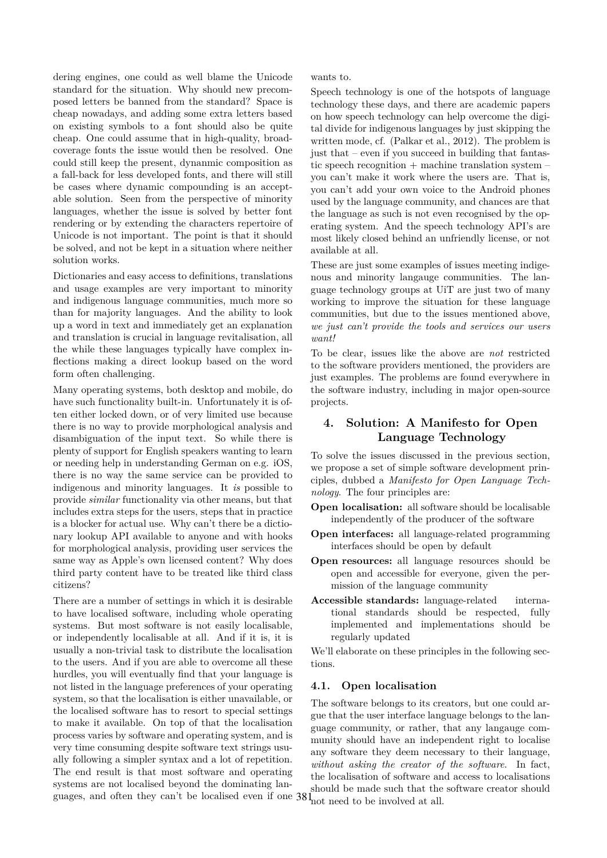dering engines, one could as well blame the Unicode standard for the situation. Why should new precomposed letters be banned from the standard? Space is cheap nowadays, and adding some extra letters based on existing symbols to a font should also be quite cheap. One could assume that in high-quality, broadcoverage fonts the issue would then be resolved. One could still keep the present, dynanmic composition as a fall-back for less developed fonts, and there will still be cases where dynamic compounding is an acceptable solution. Seen from the perspective of minority languages, whether the issue is solved by better font rendering or by extending the characters repertoire of Unicode is not important. The point is that it should be solved, and not be kept in a situation where neither solution works.

Dictionaries and easy access to definitions, translations and usage examples are very important to minority and indigenous language communities, much more so than for majority languages. And the ability to look up a word in text and immediately get an explanation and translation is crucial in language revitalisation, all the while these languages typically have complex inflections making a direct lookup based on the word form often challenging.

Many operating systems, both desktop and mobile, do have such functionality built-in. Unfortunately it is often either locked down, or of very limited use because there is no way to provide morphological analysis and disambiguation of the input text. So while there is plenty of support for English speakers wanting to learn or needing help in understanding German on e.g. iOS, there is no way the same service can be provided to indigenous and minority languages. It *is* possible to provide *similar* functionality via other means, but that includes extra steps for the users, steps that in practice is a blocker for actual use. Why can't there be a dictionary lookup API available to anyone and with hooks for morphological analysis, providing user services the same way as Apple's own licensed content? Why does third party content have to be treated like third class citizens?

guages, and often they can't be localised even if one  $38\text{ m}$  need to be involved at all. There are a number of settings in which it is desirable to have localised software, including whole operating systems. But most software is not easily localisable, or independently localisable at all. And if it is, it is usually a non-trivial task to distribute the localisation to the users. And if you are able to overcome all these hurdles, you will eventually find that your language is not listed in the language preferences of your operating system, so that the localisation is either unavailable, or the localised software has to resort to special settings to make it available. On top of that the localisation process varies by software and operating system, and is very time consuming despite software text strings usually following a simpler syntax and a lot of repetition. The end result is that most software and operating systems are not localised beyond the dominating lan-

wants to.

Speech technology is one of the hotspots of language technology these days, and there are academic papers on how speech technology can help overcome the digital divide for indigenous languages by just skipping the written mode, cf. (Palkar et al., 2012). The problem is just that – even if you succeed in building that fantastic speech recognition  $+$  machine translation system  $$ you can't make it work where the users are. That is, you can't add your own voice to the Android phones used by the language community, and chances are that the language as such is not even recognised by the operating system. And the speech technology API's are most likely closed behind an unfriendly license, or not available at all.

These are just some examples of issues meeting indigenous and minority langauge communities. The language technology groups at UiT are just two of many working to improve the situation for these language communities, but due to the issues mentioned above, *we just can't provide the tools and services our users want!*

To be clear, issues like the above are *not* restricted to the software providers mentioned, the providers are just examples. The problems are found everywhere in the software industry, including in major open-source projects.

# **4. Solution: A Manifesto for Open Language Technology**

To solve the issues discussed in the previous section, we propose a set of simple software development principles, dubbed a *Manifesto for Open Language Technology*. The four principles are:

- **Open localisation:** all software should be localisable independently of the producer of the software
- **Open interfaces:** all language-related programming interfaces should be open by default
- **Open resources:** all language resources should be open and accessible for everyone, given the permission of the language community
- **Accessible standards:** language-related international standards should be respected, fully implemented and implementations should be regularly updated

We'll elaborate on these principles in the following sections.

# **4.1. Open localisation**

The software belongs to its creators, but one could argue that the user interface language belongs to the language community, or rather, that any langauge community should have an independent right to localise any software they deem necessary to their language, *without asking the creator of the software*. In fact, the localisation of software and access to localisations should be made such that the software creator should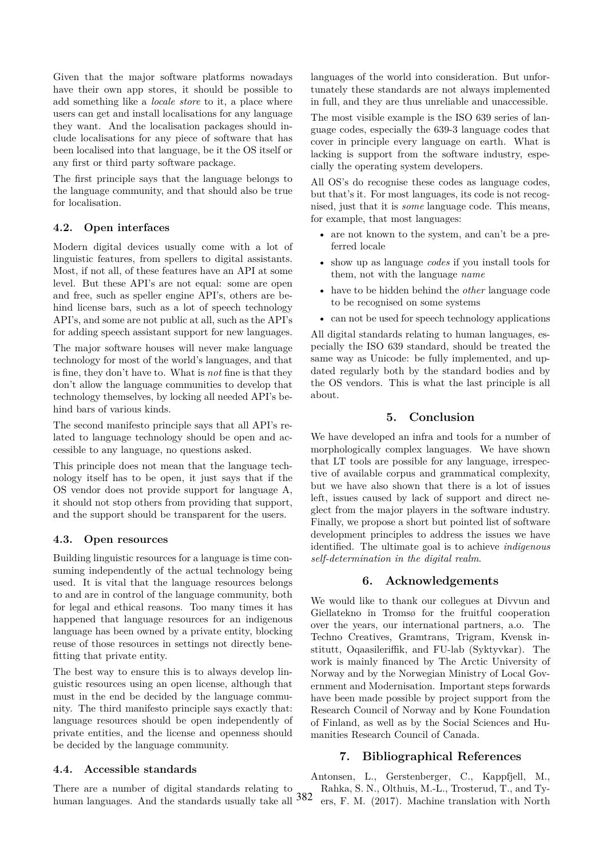Given that the major software platforms nowadays have their own app stores, it should be possible to add something like a *locale store* to it, a place where users can get and install localisations for any language they want. And the localisation packages should include localisations for any piece of software that has been localised into that language, be it the OS itself or any first or third party software package.

The first principle says that the language belongs to the language community, and that should also be true for localisation.

### **4.2. Open interfaces**

Modern digital devices usually come with a lot of linguistic features, from spellers to digital assistants. Most, if not all, of these features have an API at some level. But these API's are not equal: some are open and free, such as speller engine API's, others are behind license bars, such as a lot of speech technology API's, and some are not public at all, such as the API's for adding speech assistant support for new languages.

The major software houses will never make language technology for most of the world's languages, and that is fine, they don't have to. What is *not* fine is that they don't allow the language communities to develop that technology themselves, by locking all needed API's behind bars of various kinds.

The second manifesto principle says that all API's related to language technology should be open and accessible to any language, no questions asked.

This principle does not mean that the language technology itself has to be open, it just says that if the OS vendor does not provide support for language A, it should not stop others from providing that support, and the support should be transparent for the users.

### **4.3. Open resources**

Building linguistic resources for a language is time consuming independently of the actual technology being used. It is vital that the language resources belongs to and are in control of the language community, both for legal and ethical reasons. Too many times it has happened that language resources for an indigenous language has been owned by a private entity, blocking reuse of those resources in settings not directly benefitting that private entity.

The best way to ensure this is to always develop linguistic resources using an open license, although that must in the end be decided by the language community. The third manifesto principle says exactly that: language resources should be open independently of private entities, and the license and openness should be decided by the language community.

### **4.4. Accessible standards**

human languages. And the standards usually take all 382 There are a number of digital standards relating to

languages of the world into consideration. But unfortunately these standards are not always implemented in full, and they are thus unreliable and unaccessible.

The most visible example is the ISO 639 series of language codes, especially the 639-3 language codes that cover in principle every language on earth. What is lacking is support from the software industry, especially the operating system developers.

All OS's do recognise these codes as language codes, but that's it. For most languages, its code is not recognised, just that it is *some* language code. This means, for example, that most languages:

- are not known to the system, and can't be a preferred locale
- show up as language *codes* if you install tools for them, not with the language *name*
- have to be hidden behind the *other* language code to be recognised on some systems
- can not be used for speech technology applications

All digital standards relating to human languages, especially the ISO 639 standard, should be treated the same way as Unicode: be fully implemented, and updated regularly both by the standard bodies and by the OS vendors. This is what the last principle is all about.

# **5. Conclusion**

We have developed an infra and tools for a number of morphologically complex languages. We have shown that LT tools are possible for any language, irrespective of available corpus and grammatical complexity, but we have also shown that there is a lot of issues left, issues caused by lack of support and direct neglect from the major players in the software industry. Finally, we propose a short but pointed list of software development principles to address the issues we have identified. The ultimate goal is to achieve *indigenous self-determination in the digital realm*.

# **6. Acknowledgements**

We would like to thank our collegues at Divvun and Giellatekno in Tromsø for the fruitful cooperation over the years, our international partners, a.o. The Techno Creatives, Gramtrans, Trigram, Kvensk institutt, Oqaasileriffik, and FU-lab (Syktyvkar). The work is mainly financed by The Arctic University of Norway and by the Norwegian Ministry of Local Government and Modernisation. Important steps forwards have been made possible by project support from the Research Council of Norway and by Kone Foundation of Finland, as well as by the Social Sciences and Humanities Research Council of Canada.

# **7. Bibliographical References**

Antonsen, L., Gerstenberger, C., Kappfjell, M., Rahka, S. N., Olthuis, M.-L., Trosterud, T., and Tyers, F. M. (2017). Machine translation with North